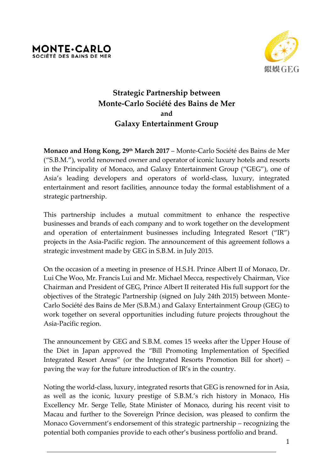



## **Strategic Partnership between Monte-Carlo Société des Bains de Mer and Galaxy Entertainment Group**

**Monaco and Hong Kong, 29th March 2017** – Monte-Carlo Société des Bains de Mer ("S.B.M."), world renowned owner and operator of iconic luxury hotels and resorts in the Principality of Monaco, and Galaxy Entertainment Group ("GEG"), one of Asia's leading developers and operators of world-class, luxury, integrated entertainment and resort facilities, announce today the formal establishment of a strategic partnership.

This partnership includes a mutual commitment to enhance the respective businesses and brands of each company and to work together on the development and operation of entertainment businesses including Integrated Resort ("IR") projects in the Asia-Pacific region. The announcement of this agreement follows a strategic investment made by GEG in S.B.M. in July 2015.

On the occasion of a meeting in presence of H.S.H. Prince Albert II of Monaco, Dr. Lui Che Woo, Mr. Francis Lui and Mr. Michael Mecca, respectively Chairman, Vice Chairman and President of GEG, Prince Albert II reiterated His full support for the objectives of the Strategic Partnership (signed on July 24th 2015) between Monte-Carlo Société des Bains de Mer (S.B.M.) and Galaxy Entertainment Group (GEG) to work together on several opportunities including future projects throughout the Asia-Pacific region.

The announcement by GEG and S.B.M. comes 15 weeks after the Upper House of the Diet in Japan approved the "Bill Promoting Implementation of Specified Integrated Resort Areas" (or the Integrated Resorts Promotion Bill for short) – paving the way for the future introduction of IR's in the country.

Noting the world-class, luxury, integrated resorts that GEG is renowned for in Asia, as well as the iconic, luxury prestige of S.B.M.'s rich history in Monaco, His Excellency Mr. Serge Telle, State Minister of Monaco, during his recent visit to Macau and further to the Sovereign Prince decision, was pleased to confirm the Monaco Government's endorsement of this strategic partnership – recognizing the potential both companies provide to each other's business portfolio and brand.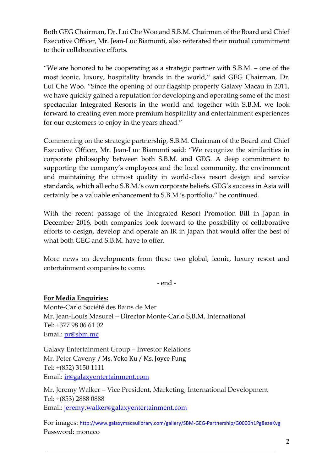Both GEG Chairman, Dr. Lui Che Woo and S.B.M. Chairman of the Board and Chief Executive Officer, Mr. Jean-Luc Biamonti, also reiterated their mutual commitment to their collaborative efforts.

"We are honored to be cooperating as a strategic partner with  $S.B.M.$  – one of the most iconic, luxury, hospitality brands in the world," said GEG Chairman, Dr. Lui Che Woo. "Since the opening of our flagship property Galaxy Macau in 2011, we have quickly gained a reputation for developing and operating some of the most spectacular Integrated Resorts in the world and together with S.B.M. we look forward to creating even more premium hospitality and entertainment experiences for our customers to enjoy in the years ahead."

Commenting on the strategic partnership, S.B.M. Chairman of the Board and Chief Executive Officer, Mr. Jean-Luc Biamonti said: "We recognize the similarities in corporate philosophy between both S.B.M. and GEG. A deep commitment to supporting the company's employees and the local community, the environment and maintaining the utmost quality in world-class resort design and service standards, which all echo S.B.M.'s own corporate beliefs. GEG's success in Asia will certainly be a valuable enhancement to S.B.M.'s portfolio," he continued.

With the recent passage of the Integrated Resort Promotion Bill in Japan in December 2016, both companies look forward to the possibility of collaborative efforts to design, develop and operate an IR in Japan that would offer the best of what both GEG and S.B.M. have to offer.

More news on developments from these two global, iconic, luxury resort and entertainment companies to come.

- end -

**For Media Enquiries:** Monte-Carlo Société des Bains de Mer Mr. Jean-Louis Masurel – Director Monte-Carlo S.B.M. International Tel: +377 98 06 61 02 Email: [pr@sbm.mc](mailto:pr@sbm.mc)

Galaxy Entertainment Group – Investor Relations Mr. Peter Caveny / Ms. Yoko Ku / Ms. Joyce Fung Tel: +(852) 3150 1111 Email: [ir@galaxyentertainment.com](mailto:ir@galaxyentertainment.com)

Mr. Jeremy Walker – Vice President, Marketing, International Development Tel: +(853) 2888 0888 Email: [jeremy.walker@galaxyentertainment.com](mailto:jeremy.walker@galaxyentertainment.com)

For images: <http://www.galaxymacaulibrary.com/gallery/SBM-GEG-Partnership/G0000h1Pg8ezeKvg> Password: monaco